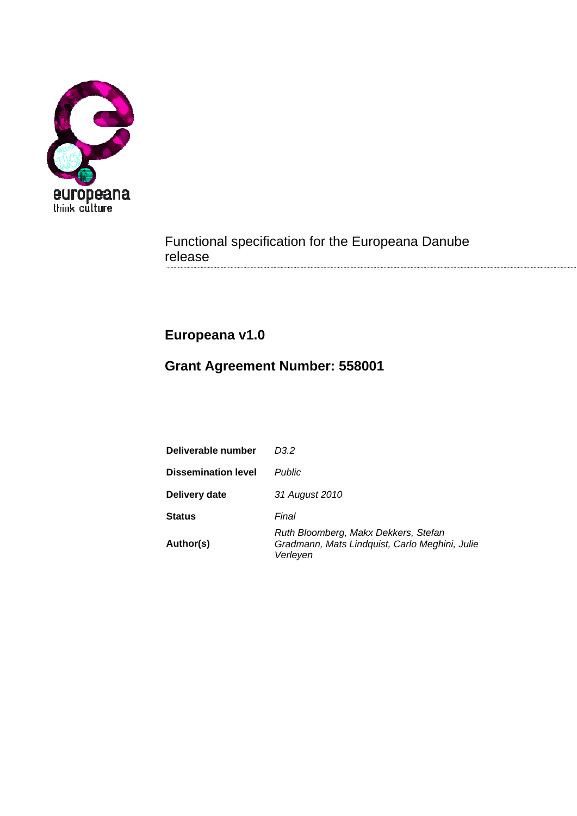

Functional specification for the Europeana Danube release

# **Europeana v1.0**

# **Grant Agreement Number: 558001**

| Deliverable number         | D3 2                                                                                               |
|----------------------------|----------------------------------------------------------------------------------------------------|
| <b>Dissemination level</b> | <b>Public</b>                                                                                      |
| Delivery date              | 31 August 2010                                                                                     |
| <b>Status</b>              | Final                                                                                              |
| Author(s)                  | Ruth Bloomberg, Makx Dekkers, Stefan<br>Gradmann, Mats Lindquist, Carlo Meghini, Julie<br>Verleyen |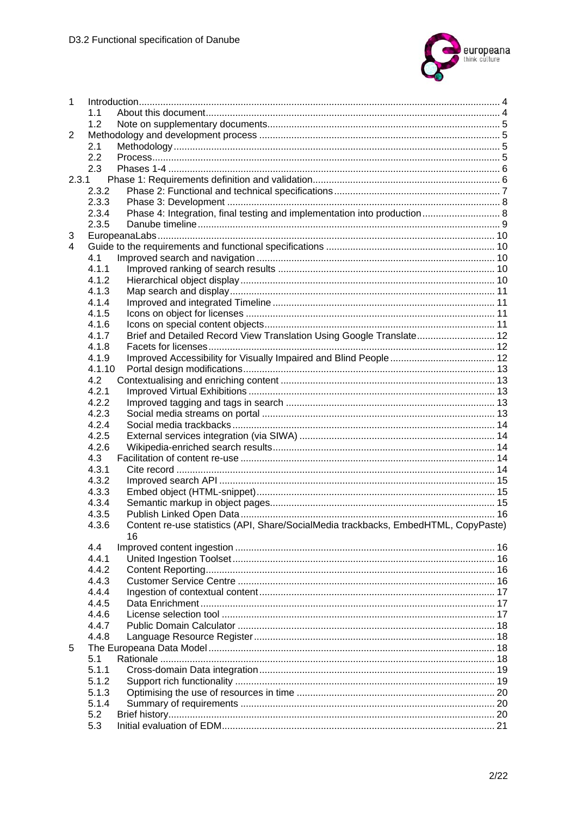

| $\mathbf{1}$ |        |                                                                                     |    |  |  |
|--------------|--------|-------------------------------------------------------------------------------------|----|--|--|
|              | 1.1    |                                                                                     |    |  |  |
|              | 1.2    |                                                                                     |    |  |  |
| 2            |        |                                                                                     |    |  |  |
|              | 2.1    |                                                                                     |    |  |  |
|              | 2.2    |                                                                                     |    |  |  |
|              | 2.3    |                                                                                     |    |  |  |
|              | 2.3.1  |                                                                                     |    |  |  |
|              | 2.3.2  |                                                                                     |    |  |  |
|              | 2.3.3  |                                                                                     |    |  |  |
|              | 2.3.4  | Phase 4: Integration, final testing and implementation into production 8            |    |  |  |
|              | 2.3.5  |                                                                                     |    |  |  |
| 3            |        |                                                                                     |    |  |  |
| 4            |        |                                                                                     |    |  |  |
|              | 4.1    |                                                                                     |    |  |  |
|              | 4.1.1  |                                                                                     |    |  |  |
|              | 4.1.2  |                                                                                     |    |  |  |
|              | 4.1.3  |                                                                                     |    |  |  |
|              | 4.1.4  |                                                                                     |    |  |  |
|              | 4.1.5  |                                                                                     |    |  |  |
|              | 4.1.6  |                                                                                     |    |  |  |
|              | 4.1.7  | Brief and Detailed Record View Translation Using Google Translate 12                |    |  |  |
|              | 4.1.8  |                                                                                     |    |  |  |
|              | 4.1.9  |                                                                                     |    |  |  |
|              | 4.1.10 |                                                                                     |    |  |  |
|              | 4.2    |                                                                                     |    |  |  |
|              | 4.2.1  |                                                                                     |    |  |  |
|              |        |                                                                                     |    |  |  |
|              | 4.2.2  |                                                                                     |    |  |  |
|              | 4.2.3  |                                                                                     |    |  |  |
|              | 4.2.4  |                                                                                     |    |  |  |
|              | 4.2.5  |                                                                                     |    |  |  |
|              | 4.2.6  |                                                                                     |    |  |  |
|              | 4.3    |                                                                                     |    |  |  |
|              | 4.3.1  |                                                                                     |    |  |  |
|              | 4.3.2  |                                                                                     |    |  |  |
|              | 4.3.3  |                                                                                     |    |  |  |
|              | 4.3.4  |                                                                                     |    |  |  |
|              | 4.3.5  |                                                                                     |    |  |  |
|              | 4.3.6  | Content re-use statistics (API, Share/SocialMedia trackbacks, EmbedHTML, CopyPaste) |    |  |  |
|              |        | 16                                                                                  |    |  |  |
|              | 4.4    |                                                                                     |    |  |  |
|              | 4.4.1  |                                                                                     |    |  |  |
|              | 4.4.2  |                                                                                     |    |  |  |
|              | 4.4.3  |                                                                                     |    |  |  |
|              | 4.4.4  |                                                                                     | 17 |  |  |
|              | 4.4.5  |                                                                                     | 17 |  |  |
|              | 4.4.6  |                                                                                     | 17 |  |  |
|              | 4.4.7  |                                                                                     |    |  |  |
|              | 4.4.8  |                                                                                     |    |  |  |
| 5            |        |                                                                                     |    |  |  |
|              | 5.1    |                                                                                     |    |  |  |
|              | 5.1.1  |                                                                                     |    |  |  |
|              | 5.1.2  |                                                                                     |    |  |  |
|              | 5.1.3  |                                                                                     |    |  |  |
|              | 5.1.4  |                                                                                     |    |  |  |
|              | 5.2    |                                                                                     |    |  |  |
|              | 5.3    |                                                                                     |    |  |  |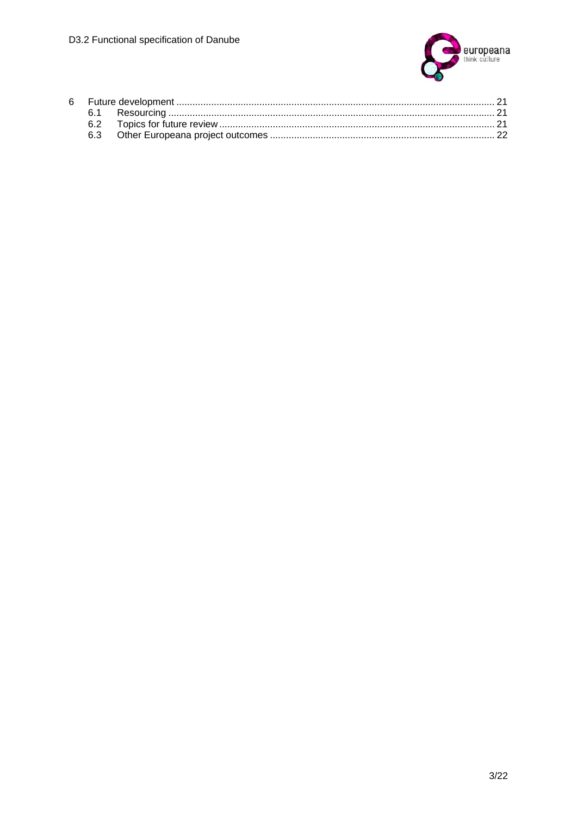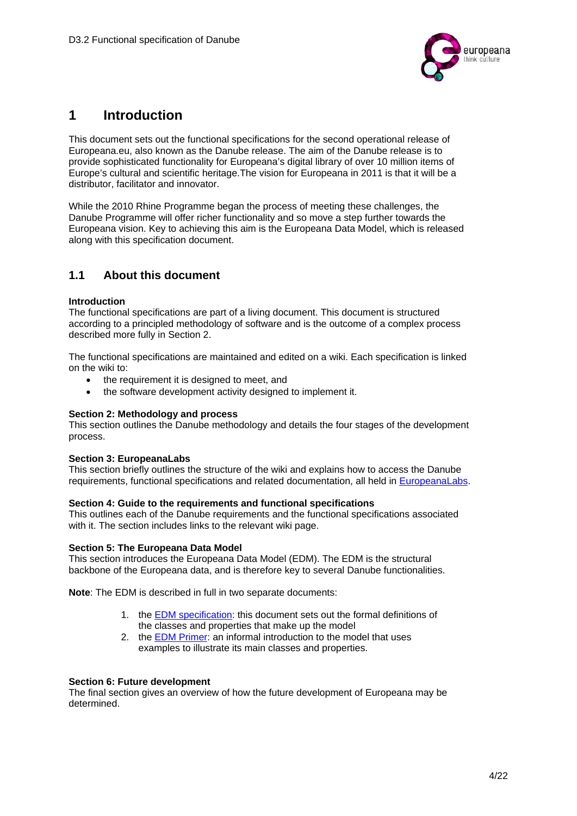

# **1 Introduction**

This document sets out the functional specifications for the second operational release of Europeana.eu, also known as the Danube release. The aim of the Danube release is to provide sophisticated functionality for Europeana's digital library of over 10 million items of Europe's cultural and scientific heritage.The vision for Europeana in 2011 is that it will be a distributor, facilitator and innovator.

While the 2010 Rhine Programme began the process of meeting these challenges, the Danube Programme will offer richer functionality and so move a step further towards the Europeana vision. Key to achieving this aim is the Europeana Data Model, which is released along with this specification document.

## **1.1 About this document**

#### **Introduction**

The functional specifications are part of a living document. This document is structured according to a principled methodology of software and is the outcome of a complex process described more fully in Section 2.

The functional specifications are maintained and edited on a wiki. Each specification is linked on the wiki to:

- the requirement it is designed to meet, and
- the software development activity designed to implement it.

#### **Section 2: Methodology and process**

This section outlines the Danube methodology and details the four stages of the development process.

#### **Section 3: EuropeanaLabs**

This section briefly outlines the structure of the wiki and explains how to access the Danube requirements, functional specifications and related documentation, all held in EuropeanaLabs.

#### **Section 4: Guide to the requirements and functional specifications**

This outlines each of the Danube requirements and the functional specifications associated with it. The section includes links to the relevant wiki page.

#### **Section 5: The Europeana Data Model**

This section introduces the Europeana Data Model (EDM). The EDM is the structural backbone of the Europeana data, and is therefore key to several Danube functionalities.

**Note**: The EDM is described in full in two separate documents:

- 1. the EDM specification: this document sets out the formal definitions of the classes and properties that make up the model
- 2. the EDM Primer: an informal introduction to the model that uses examples to illustrate its main classes and properties.

#### **Section 6: Future development**

The final section gives an overview of how the future development of Europeana may be determined.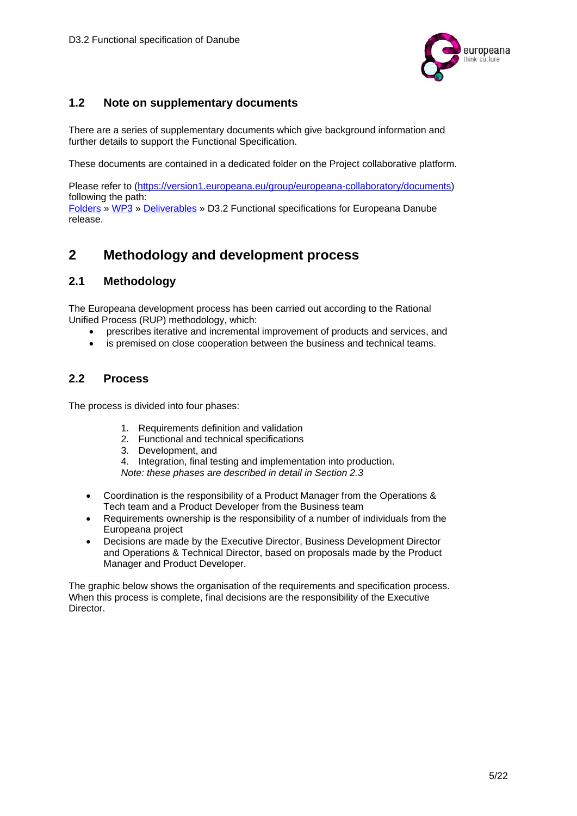

## **1.2 Note on supplementary documents**

There are a series of supplementary documents which give background information and further details to support the Functional Specification.

These documents are contained in a dedicated folder on the Project collaborative platform.

Please refer to (https://version1.europeana.eu/group/europeana-collaboratory/documents) following the path: Folders » WP3 » Deliverables » D3.2 Functional specifications for Europeana Danube

## **2 Methodology and development process**

#### **2.1 Methodology**

release.

The Europeana development process has been carried out according to the Rational Unified Process (RUP) methodology, which:

- prescribes iterative and incremental improvement of products and services, and
- is premised on close cooperation between the business and technical teams.

### **2.2 Process**

The process is divided into four phases:

- 1. Requirements definition and validation
- 2. Functional and technical specifications
- 3. Development, and
- 4. Integration, final testing and implementation into production.
- *Note: these phases are described in detail in Section 2.3*
- Coordination is the responsibility of a Product Manager from the Operations & Tech team and a Product Developer from the Business team
- Requirements ownership is the responsibility of a number of individuals from the Europeana project
- Decisions are made by the Executive Director, Business Development Director and Operations & Technical Director, based on proposals made by the Product Manager and Product Developer.

The graphic below shows the organisation of the requirements and specification process. When this process is complete, final decisions are the responsibility of the Executive Director.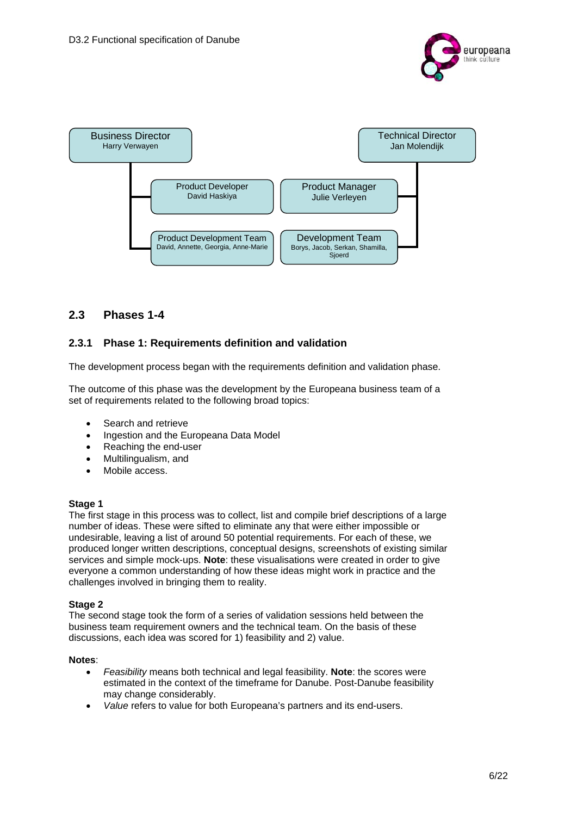



## **2.3 Phases 1-4**

### **2.3.1 Phase 1: Requirements definition and validation**

The development process began with the requirements definition and validation phase.

The outcome of this phase was the development by the Europeana business team of a set of requirements related to the following broad topics:

- Search and retrieve
- Ingestion and the Europeana Data Model
- Reaching the end-user
- Multilingualism, and
- Mobile access.

#### **Stage 1**

The first stage in this process was to collect, list and compile brief descriptions of a large number of ideas. These were sifted to eliminate any that were either impossible or undesirable, leaving a list of around 50 potential requirements. For each of these, we produced longer written descriptions, conceptual designs, screenshots of existing similar services and simple mock-ups. **Note**: these visualisations were created in order to give everyone a common understanding of how these ideas might work in practice and the challenges involved in bringing them to reality.

#### **Stage 2**

The second stage took the form of a series of validation sessions held between the business team requirement owners and the technical team. On the basis of these discussions, each idea was scored for 1) feasibility and 2) value.

#### **Notes**:

- *Feasibility* means both technical and legal feasibility. **Note**: the scores were estimated in the context of the timeframe for Danube. Post-Danube feasibility may change considerably.
- *Value* refers to value for both Europeana's partners and its end-users.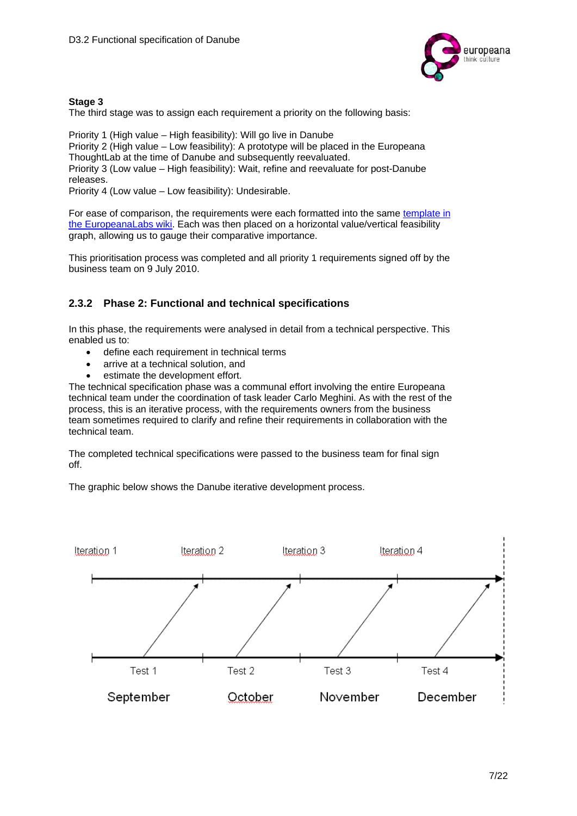

#### **Stage 3**

The third stage was to assign each requirement a priority on the following basis:

Priority 1 (High value – High feasibility): Will go live in Danube Priority 2 (High value – Low feasibility): A prototype will be placed in the Europeana ThoughtLab at the time of Danube and subsequently reevaluated. Priority 3 (Low value – High feasibility): Wait, refine and reevaluate for post-Danube releases. Priority 4 (Low value – Low feasibility): Undesirable.

For ease of comparison, the requirements were each formatted into the same template in the EuropeanaLabs wiki. Each was then placed on a horizontal value/vertical feasibility graph, allowing us to gauge their comparative importance.

This prioritisation process was completed and all priority 1 requirements signed off by the business team on 9 July 2010.

### **2.3.2 Phase 2: Functional and technical specifications**

In this phase, the requirements were analysed in detail from a technical perspective. This enabled us to:

- define each requirement in technical terms
- arrive at a technical solution, and
- **e** estimate the development effort.

The technical specification phase was a communal effort involving the entire Europeana technical team under the coordination of task leader Carlo Meghini. As with the rest of the process, this is an iterative process, with the requirements owners from the business team sometimes required to clarify and refine their requirements in collaboration with the technical team.

The completed technical specifications were passed to the business team for final sign off.

The graphic below shows the Danube iterative development process.

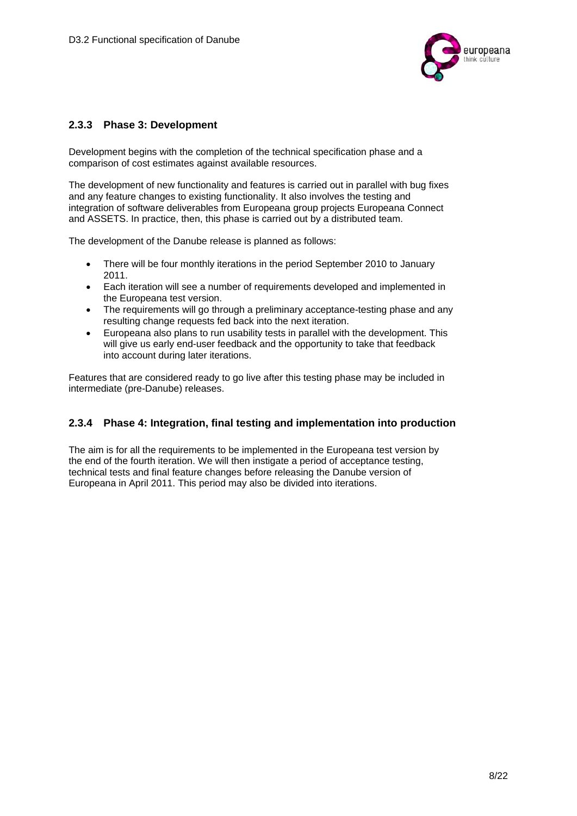

#### **2.3.3 Phase 3: Development**

Development begins with the completion of the technical specification phase and a comparison of cost estimates against available resources.

The development of new functionality and features is carried out in parallel with bug fixes and any feature changes to existing functionality. It also involves the testing and integration of software deliverables from Europeana group projects Europeana Connect and ASSETS. In practice, then, this phase is carried out by a distributed team.

The development of the Danube release is planned as follows:

- There will be four monthly iterations in the period September 2010 to January 2011.
- Each iteration will see a number of requirements developed and implemented in the Europeana test version.
- The requirements will go through a preliminary acceptance-testing phase and any resulting change requests fed back into the next iteration.
- Europeana also plans to run usability tests in parallel with the development. This will give us early end-user feedback and the opportunity to take that feedback into account during later iterations.

Features that are considered ready to go live after this testing phase may be included in intermediate (pre-Danube) releases.

#### **2.3.4 Phase 4: Integration, final testing and implementation into production**

The aim is for all the requirements to be implemented in the Europeana test version by the end of the fourth iteration. We will then instigate a period of acceptance testing, technical tests and final feature changes before releasing the Danube version of Europeana in April 2011. This period may also be divided into iterations.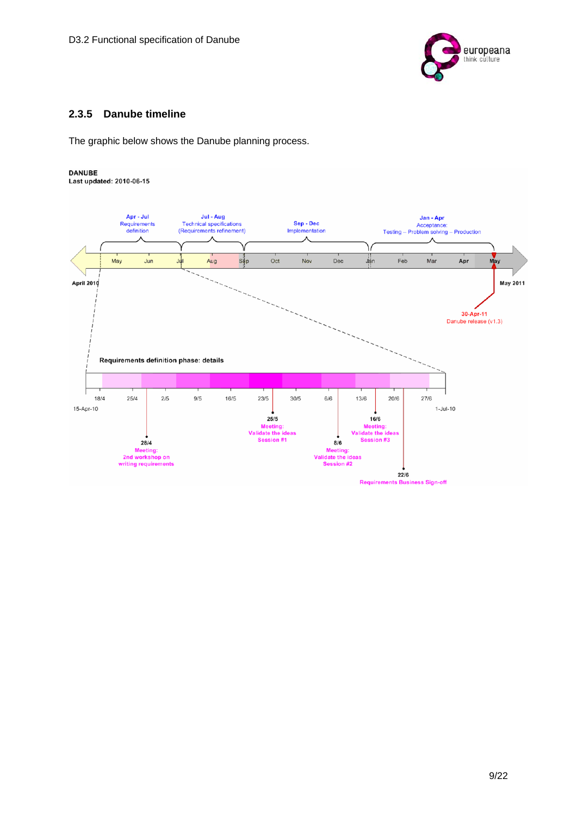

## **2.3.5 Danube timeline**

The graphic below shows the Danube planning process.

#### **DANUBE**

Last updated: 2010-06-15

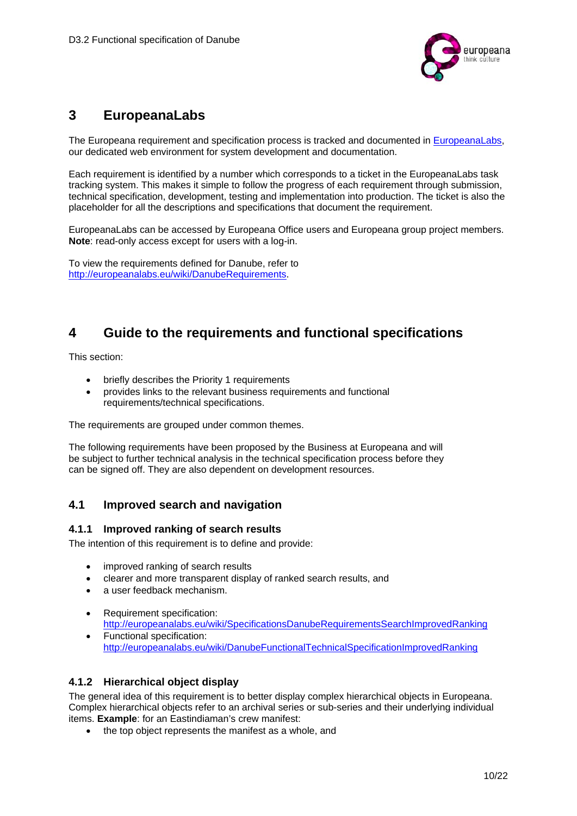

# **3 EuropeanaLabs**

The Europeana requirement and specification process is tracked and documented in EuropeanaLabs, our dedicated web environment for system development and documentation.

Each requirement is identified by a number which corresponds to a ticket in the EuropeanaLabs task tracking system. This makes it simple to follow the progress of each requirement through submission, technical specification, development, testing and implementation into production. The ticket is also the placeholder for all the descriptions and specifications that document the requirement.

EuropeanaLabs can be accessed by Europeana Office users and Europeana group project members. **Note**: read-only access except for users with a log-in.

To view the requirements defined for Danube, refer to http://europeanalabs.eu/wiki/DanubeRequirements.

## **4 Guide to the requirements and functional specifications**

This section:

- briefly describes the Priority 1 requirements
- provides links to the relevant business requirements and functional requirements/technical specifications.

The requirements are grouped under common themes.

The following requirements have been proposed by the Business at Europeana and will be subject to further technical analysis in the technical specification process before they can be signed off. They are also dependent on development resources.

## **4.1 Improved search and navigation**

#### **4.1.1 Improved ranking of search results**

The intention of this requirement is to define and provide:

- improved ranking of search results
- clearer and more transparent display of ranked search results, and
- a user feedback mechanism.
- Requirement specification: http://europeanalabs.eu/wiki/SpecificationsDanubeRequirementsSearchImprovedRanking
- Functional specification: http://europeanalabs.eu/wiki/DanubeFunctionalTechnicalSpecificationImprovedRanking

#### **4.1.2 Hierarchical object display**

The general idea of this requirement is to better display complex hierarchical objects in Europeana. Complex hierarchical objects refer to an archival series or sub-series and their underlying individual items. **Example**: for an Eastindiaman's crew manifest:

• the top object represents the manifest as a whole, and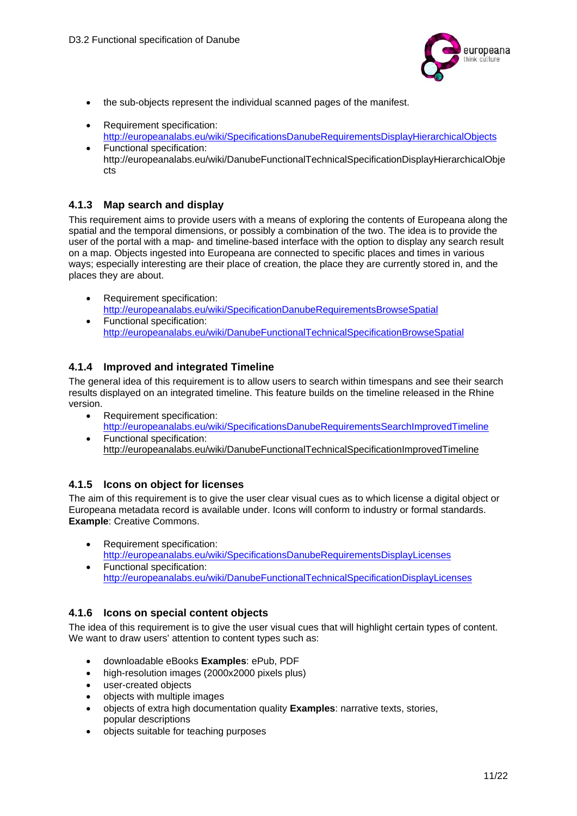

- the sub-objects represent the individual scanned pages of the manifest.
- Requirement specification: http://europeanalabs.eu/wiki/SpecificationsDanubeRequirementsDisplayHierarchicalObjects
- Functional specification: http://europeanalabs.eu/wiki/DanubeFunctionalTechnicalSpecificationDisplayHierarchicalObje cts

#### **4.1.3 Map search and display**

This requirement aims to provide users with a means of exploring the contents of Europeana along the spatial and the temporal dimensions, or possibly a combination of the two. The idea is to provide the user of the portal with a map- and timeline-based interface with the option to display any search result on a map. Objects ingested into Europeana are connected to specific places and times in various ways; especially interesting are their place of creation, the place they are currently stored in, and the places they are about.

- Requirement specification: http://europeanalabs.eu/wiki/SpecificationDanubeRequirementsBrowseSpatial
- Functional specification: http://europeanalabs.eu/wiki/DanubeFunctionalTechnicalSpecificationBrowseSpatial

#### **4.1.4 Improved and integrated Timeline**

The general idea of this requirement is to allow users to search within timespans and see their search results displayed on an integrated timeline. This feature builds on the timeline released in the Rhine version.

- Requirement specification: http://europeanalabs.eu/wiki/SpecificationsDanubeRequirementsSearchImprovedTimeline
- Functional specification: http://europeanalabs.eu/wiki/DanubeFunctionalTechnicalSpecificationImprovedTimeline

#### **4.1.5 Icons on object for licenses**

The aim of this requirement is to give the user clear visual cues as to which license a digital object or Europeana metadata record is available under. Icons will conform to industry or formal standards. **Example**: Creative Commons.

- Requirement specification: http://europeanalabs.eu/wiki/SpecificationsDanubeRequirementsDisplayLicenses
- Functional specification: http://europeanalabs.eu/wiki/DanubeFunctionalTechnicalSpecificationDisplayLicenses

#### **4.1.6 Icons on special content objects**

The idea of this requirement is to give the user visual cues that will highlight certain types of content. We want to draw users' attention to content types such as:

- downloadable eBooks **Examples**: ePub, PDF
- high-resolution images (2000x2000 pixels plus)
- user-created objects
- objects with multiple images
- objects of extra high documentation quality **Examples**: narrative texts, stories, popular descriptions
- objects suitable for teaching purposes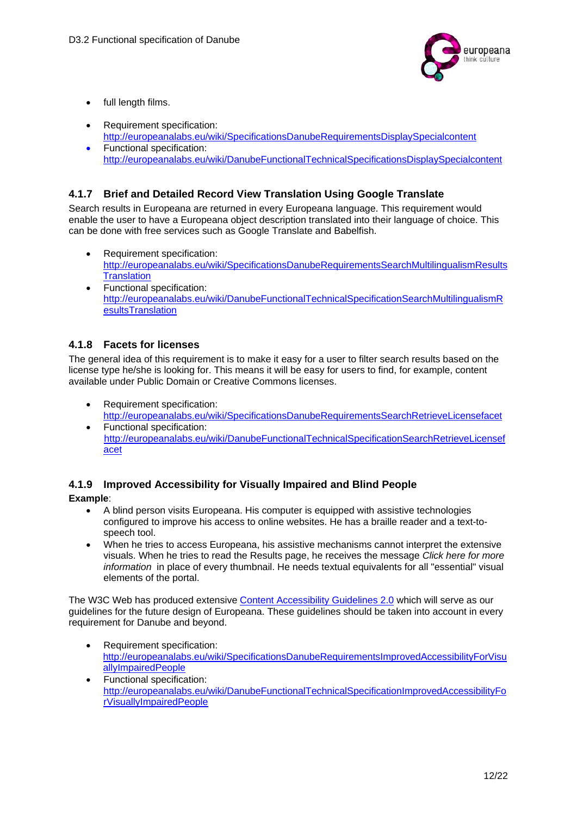

- full length films.
- Requirement specification: http://europeanalabs.eu/wiki/SpecificationsDanubeRequirementsDisplaySpecialcontent
- Functional specification: http://europeanalabs.eu/wiki/DanubeFunctionalTechnicalSpecificationsDisplaySpecialcontent

### **4.1.7 Brief and Detailed Record View Translation Using Google Translate**

Search results in Europeana are returned in every Europeana language. This requirement would enable the user to have a Europeana object description translated into their language of choice. This can be done with free services such as Google Translate and Babelfish.

- Requirement specification: http://europeanalabs.eu/wiki/SpecificationsDanubeRequirementsSearchMultilingualismResults **Translation**
- Functional specification: http://europeanalabs.eu/wiki/DanubeFunctionalTechnicalSpecificationSearchMultilingualismR esultsTranslation

### **4.1.8 Facets for licenses**

The general idea of this requirement is to make it easy for a user to filter search results based on the license type he/she is looking for. This means it will be easy for users to find, for example, content available under Public Domain or Creative Commons licenses.

- Requirement specification: http://europeanalabs.eu/wiki/SpecificationsDanubeRequirementsSearchRetrieveLicensefacet Functional specification:
- http://europeanalabs.eu/wiki/DanubeFunctionalTechnicalSpecificationSearchRetrieveLicensef acet

## **4.1.9 Improved Accessibility for Visually Impaired and Blind People**

**Example**:

- A blind person visits Europeana. His computer is equipped with assistive technologies configured to improve his access to online websites. He has a braille reader and a text-tospeech tool.
- When he tries to access Europeana, his assistive mechanisms cannot interpret the extensive visuals. When he tries to read the Results page, he receives the message *Click here for more information* in place of every thumbnail. He needs textual equivalents for all "essential" visual elements of the portal.

The W3C Web has produced extensive Content Accessibility Guidelines 2.0 which will serve as our guidelines for the future design of Europeana. These guidelines should be taken into account in every requirement for Danube and beyond.

- Requirement specification: http://europeanalabs.eu/wiki/SpecificationsDanubeRequirementsImprovedAccessibilityForVisu allyImpairedPeople
- Functional specification: http://europeanalabs.eu/wiki/DanubeFunctionalTechnicalSpecificationImprovedAccessibilityFo rVisuallyImpairedPeople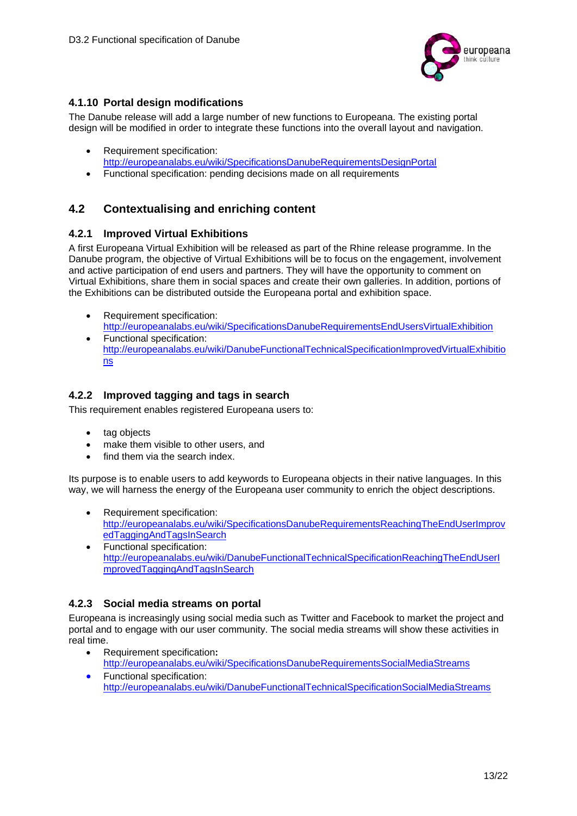

## **4.1.10 Portal design modifications**

The Danube release will add a large number of new functions to Europeana. The existing portal design will be modified in order to integrate these functions into the overall layout and navigation.

- Requirement specification: http://europeanalabs.eu/wiki/SpecificationsDanubeRequirementsDesignPortal
- Functional specification: pending decisions made on all requirements

## **4.2 Contextualising and enriching content**

#### **4.2.1 Improved Virtual Exhibitions**

A first Europeana Virtual Exhibition will be released as part of the Rhine release programme. In the Danube program, the objective of Virtual Exhibitions will be to focus on the engagement, involvement and active participation of end users and partners. They will have the opportunity to comment on Virtual Exhibitions, share them in social spaces and create their own galleries. In addition, portions of the Exhibitions can be distributed outside the Europeana portal and exhibition space.

- Requirement specification: http://europeanalabs.eu/wiki/SpecificationsDanubeRequirementsEndUsersVirtualExhibition
- Functional specification: http://europeanalabs.eu/wiki/DanubeFunctionalTechnicalSpecificationImprovedVirtualExhibitio ns

#### **4.2.2 Improved tagging and tags in search**

This requirement enables registered Europeana users to:

- tag objects
- make them visible to other users, and
- find them via the search index.

Its purpose is to enable users to add keywords to Europeana objects in their native languages. In this way, we will harness the energy of the Europeana user community to enrich the object descriptions.

- Requirement specification: http://europeanalabs.eu/wiki/SpecificationsDanubeRequirementsReachingTheEndUserImprov edTaggingAndTagsInSearch
- Functional specification: http://europeanalabs.eu/wiki/DanubeFunctionalTechnicalSpecificationReachingTheEndUserI mprovedTaggingAndTagsInSearch

#### **4.2.3 Social media streams on portal**

Europeana is increasingly using social media such as Twitter and Facebook to market the project and portal and to engage with our user community. The social media streams will show these activities in real time.

- Requirement specification**:** http://europeanalabs.eu/wiki/SpecificationsDanubeRequirementsSocialMediaStreams
- **•** Functional specification: http://europeanalabs.eu/wiki/DanubeFunctionalTechnicalSpecificationSocialMediaStreams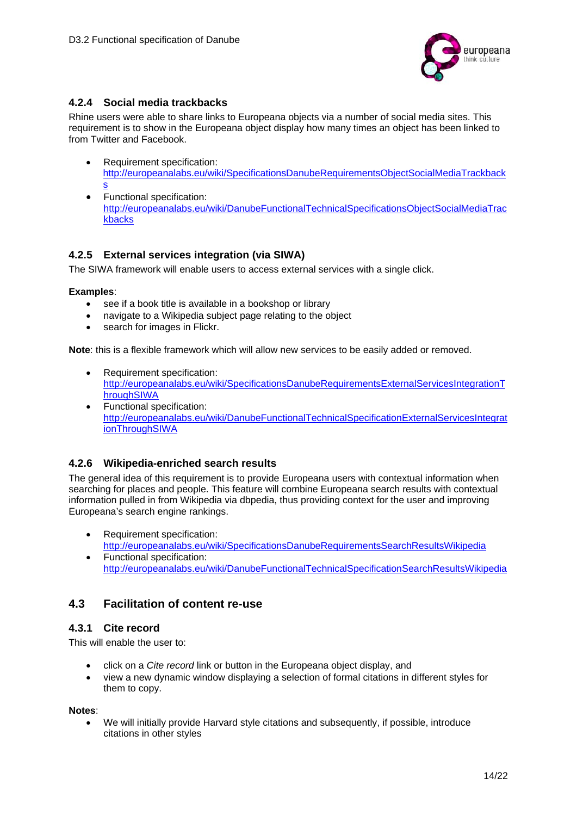

### **4.2.4 Social media trackbacks**

Rhine users were able to share links to Europeana objects via a number of social media sites. This requirement is to show in the Europeana object display how many times an object has been linked to from Twitter and Facebook.

- Requirement specification: http://europeanalabs.eu/wiki/SpecificationsDanubeRequirementsObjectSocialMediaTrackback s
- Functional specification: http://europeanalabs.eu/wiki/DanubeFunctionalTechnicalSpecificationsObjectSocialMediaTrac kbacks

#### **4.2.5 External services integration (via SIWA)**

The SIWA framework will enable users to access external services with a single click.

#### **Examples**:

- see if a book title is available in a bookshop or library
- navigate to a Wikipedia subject page relating to the object
- search for images in Flickr.

**Note**: this is a flexible framework which will allow new services to be easily added or removed.

- Requirement specification: http://europeanalabs.eu/wiki/SpecificationsDanubeRequirementsExternalServicesIntegrationT hroughSIWA
- Functional specification: http://europeanalabs.eu/wiki/DanubeFunctionalTechnicalSpecificationExternalServicesIntegrat ionThroughSIWA

#### **4.2.6 Wikipedia-enriched search results**

The general idea of this requirement is to provide Europeana users with contextual information when searching for places and people. This feature will combine Europeana search results with contextual information pulled in from Wikipedia via dbpedia, thus providing context for the user and improving Europeana's search engine rankings.

- Requirement specification: http://europeanalabs.eu/wiki/SpecificationsDanubeRequirementsSearchResultsWikipedia
- Functional specification: http://europeanalabs.eu/wiki/DanubeFunctionalTechnicalSpecificationSearchResultsWikipedia

## **4.3 Facilitation of content re-use**

#### **4.3.1 Cite record**

This will enable the user to:

- click on a *Cite record* link or button in the Europeana object display, and
- view a new dynamic window displaying a selection of formal citations in different styles for them to copy.

#### **Notes**:

 We will initially provide Harvard style citations and subsequently, if possible, introduce citations in other styles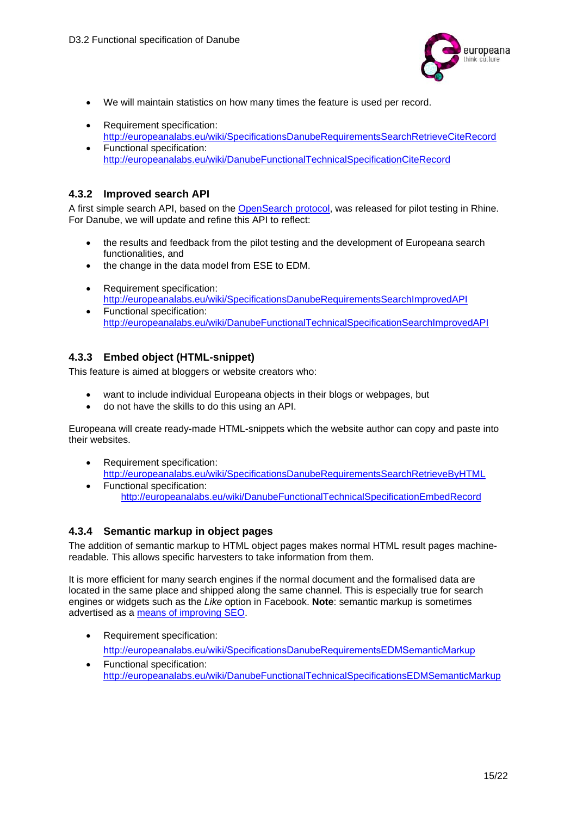

- We will maintain statistics on how many times the feature is used per record.
- Requirement specification: http://europeanalabs.eu/wiki/SpecificationsDanubeRequirementsSearchRetrieveCiteRecord
- Functional specification: http://europeanalabs.eu/wiki/DanubeFunctionalTechnicalSpecificationCiteRecord

#### **4.3.2 Improved search API**

A first simple search API, based on the OpenSearch protocol, was released for pilot testing in Rhine. For Danube, we will update and refine this API to reflect:

- the results and feedback from the pilot testing and the development of Europeana search functionalities, and
- the change in the data model from ESE to EDM.
- Requirement specification: http://europeanalabs.eu/wiki/SpecificationsDanubeRequirementsSearchImprovedAPI
- Functional specification: http://europeanalabs.eu/wiki/DanubeFunctionalTechnicalSpecificationSearchImprovedAPI

#### **4.3.3 Embed object (HTML-snippet)**

This feature is aimed at bloggers or website creators who:

- want to include individual Europeana objects in their blogs or webpages, but
- do not have the skills to do this using an API.

Europeana will create ready-made HTML-snippets which the website author can copy and paste into their websites.

- Requirement specification: http://europeanalabs.eu/wiki/SpecificationsDanubeRequirementsSearchRetrieveByHTML
- Functional specification: http://europeanalabs.eu/wiki/DanubeFunctionalTechnicalSpecificationEmbedRecord

#### **4.3.4 Semantic markup in object pages**

The addition of semantic markup to HTML object pages makes normal HTML result pages machinereadable. This allows specific harvesters to take information from them.

It is more efficient for many search engines if the normal document and the formalised data are located in the same place and shipped along the same channel. This is especially true for search engines or widgets such as the *Like* option in Facebook. **Note**: semantic markup is sometimes advertised as a means of improving SEO.

- Requirement specification: http://europeanalabs.eu/wiki/SpecificationsDanubeRequirementsEDMSemanticMarkup
- Functional specification: http://europeanalabs.eu/wiki/DanubeFunctionalTechnicalSpecificationsEDMSemanticMarkup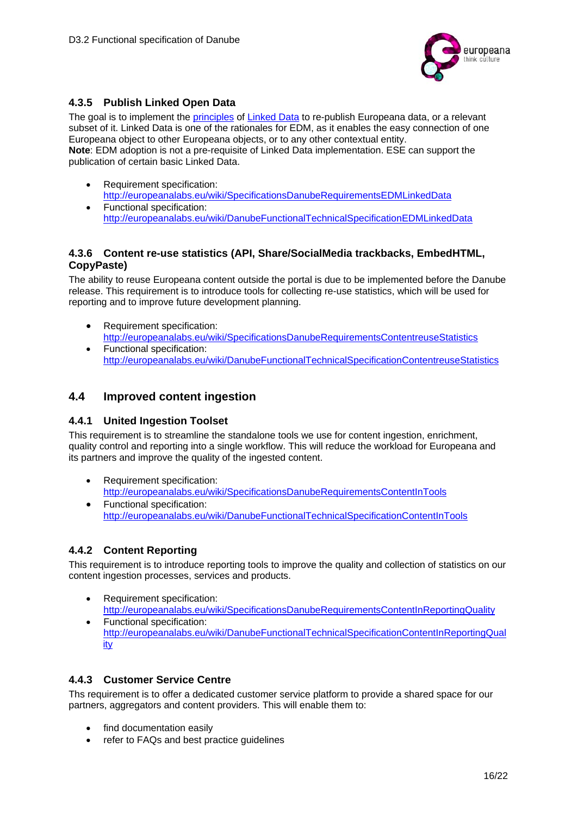

## **4.3.5 Publish Linked Open Data**

The goal is to implement the principles of Linked Data to re-publish Europeana data, or a relevant subset of it. Linked Data is one of the rationales for EDM, as it enables the easy connection of one Europeana object to other Europeana objects, or to any other contextual entity. **Note**: EDM adoption is not a pre-requisite of Linked Data implementation. ESE can support the publication of certain basic Linked Data.

- Requirement specification: http://europeanalabs.eu/wiki/SpecificationsDanubeRequirementsEDMLinkedData Functional specification:
	- http://europeanalabs.eu/wiki/DanubeFunctionalTechnicalSpecificationEDMLinkedData

#### **4.3.6 Content re-use statistics (API, Share/SocialMedia trackbacks, EmbedHTML, CopyPaste)**

The ability to reuse Europeana content outside the portal is due to be implemented before the Danube release. This requirement is to introduce tools for collecting re-use statistics, which will be used for reporting and to improve future development planning.

- Requirement specification: http://europeanalabs.eu/wiki/SpecificationsDanubeRequirementsContentreuseStatistics
- Functional specification: http://europeanalabs.eu/wiki/DanubeFunctionalTechnicalSpecificationContentreuseStatistics

### **4.4 Improved content ingestion**

#### **4.4.1 United Ingestion Toolset**

This requirement is to streamline the standalone tools we use for content ingestion, enrichment, quality control and reporting into a single workflow. This will reduce the workload for Europeana and its partners and improve the quality of the ingested content.

- Requirement specification: http://europeanalabs.eu/wiki/SpecificationsDanubeRequirementsContentInTools
- Functional specification: http://europeanalabs.eu/wiki/DanubeFunctionalTechnicalSpecificationContentInTools

## **4.4.2 Content Reporting**

This requirement is to introduce reporting tools to improve the quality and collection of statistics on our content ingestion processes, services and products.

- Requirement specification: http://europeanalabs.eu/wiki/SpecificationsDanubeRequirementsContentInReportingQuality
- Functional specification: http://europeanalabs.eu/wiki/DanubeFunctionalTechnicalSpecificationContentInReportingQual ity

#### **4.4.3 Customer Service Centre**

Ths requirement is to offer a dedicated customer service platform to provide a shared space for our partners, aggregators and content providers. This will enable them to:

- find documentation easily
- refer to FAQs and best practice quidelines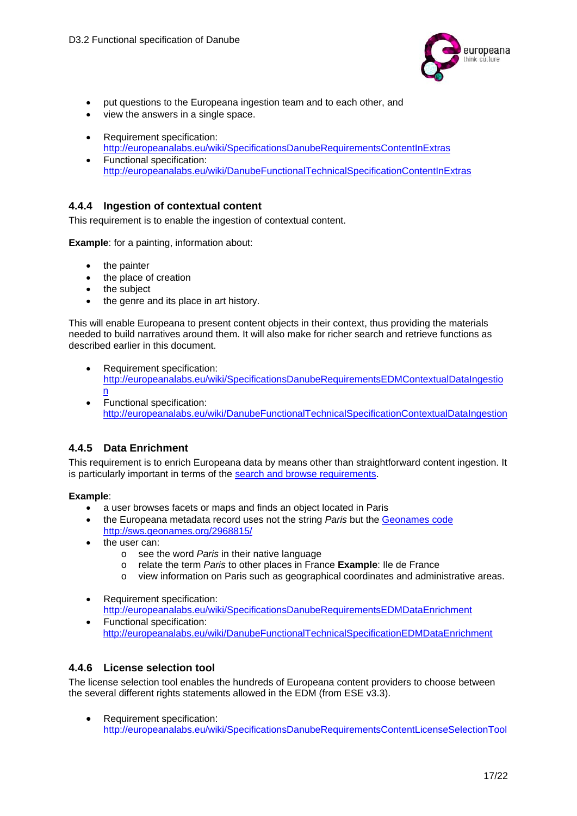

- put questions to the Europeana ingestion team and to each other, and
- view the answers in a single space.
- Requirement specification: http://europeanalabs.eu/wiki/SpecificationsDanubeRequirementsContentInExtras
- Functional specification: http://europeanalabs.eu/wiki/DanubeFunctionalTechnicalSpecificationContentInExtras

#### **4.4.4 Ingestion of contextual content**

This requirement is to enable the ingestion of contextual content.

**Example**: for a painting, information about:

- the painter
- the place of creation
- the subject
- the genre and its place in art history.

This will enable Europeana to present content objects in their context, thus providing the materials needed to build narratives around them. It will also make for richer search and retrieve functions as described earlier in this document.

- Requirement specification: http://europeanalabs.eu/wiki/SpecificationsDanubeRequirementsEDMContextualDataIngestio n
- Functional specification: http://europeanalabs.eu/wiki/DanubeFunctionalTechnicalSpecificationContextualDataIngestion

## **4.4.5 Data Enrichment**

This requirement is to enrich Europeana data by means other than straightforward content ingestion. It is particularly important in terms of the search and browse requirements.

#### **Example**:

- a user browses facets or maps and finds an object located in Paris
- the Europeana metadata record uses not the string *Paris* but the Geonames code http://sws.geonames.org/2968815/
- the user can:
	- o see the word *Paris* in their native language
	- o relate the term *Paris* to other places in France **Example**: Ile de France
	- o view information on Paris such as geographical coordinates and administrative areas.
- Requirement specification: http://europeanalabs.eu/wiki/SpecificationsDanubeRequirementsEDMDataEnrichment
- Functional specification: http://europeanalabs.eu/wiki/DanubeFunctionalTechnicalSpecificationEDMDataEnrichment

#### **4.4.6 License selection tool**

The license selection tool enables the hundreds of Europeana content providers to choose between the several different rights statements allowed in the EDM (from ESE v3.3).

• Requirement specification: http://europeanalabs.eu/wiki/SpecificationsDanubeRequirementsContentLicenseSelectionTool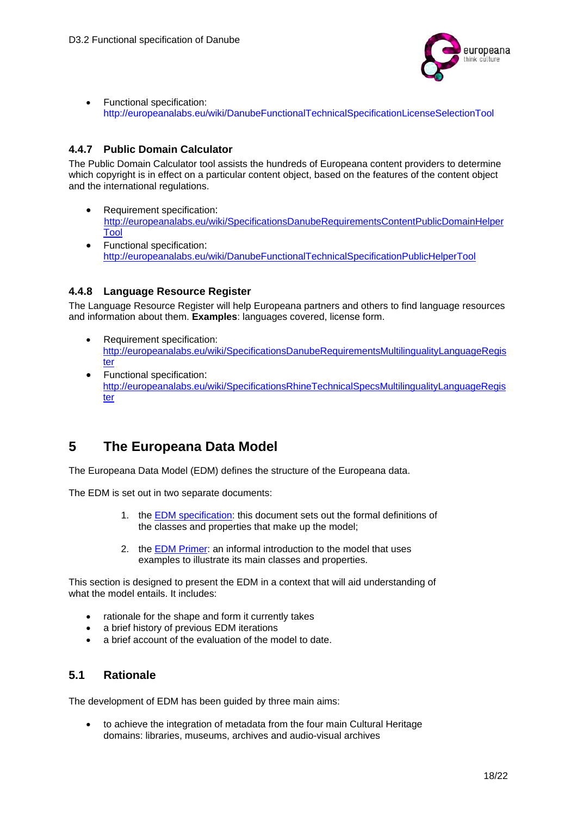

• Functional specification: http://europeanalabs.eu/wiki/DanubeFunctionalTechnicalSpecificationLicenseSelectionTool

### **4.4.7 Public Domain Calculator**

The Public Domain Calculator tool assists the hundreds of Europeana content providers to determine which copyright is in effect on a particular content object, based on the features of the content object and the international regulations.

- Requirement specification: http://europeanalabs.eu/wiki/SpecificationsDanubeRequirementsContentPublicDomainHelper Tool
- Functional specification: http://europeanalabs.eu/wiki/DanubeFunctionalTechnicalSpecificationPublicHelperTool

### **4.4.8 Language Resource Register**

The Language Resource Register will help Europeana partners and others to find language resources and information about them. **Examples**: languages covered, license form.

- Requirement specification: http://europeanalabs.eu/wiki/SpecificationsDanubeRequirementsMultilingualityLanguageRegis ter
- Functional specification: http://europeanalabs.eu/wiki/SpecificationsRhineTechnicalSpecsMultilingualityLanguageRegis ter

# **5 The Europeana Data Model**

The Europeana Data Model (EDM) defines the structure of the Europeana data.

The EDM is set out in two separate documents:

- 1. the EDM specification: this document sets out the formal definitions of the classes and properties that make up the model;
- 2. the EDM Primer: an informal introduction to the model that uses examples to illustrate its main classes and properties.

This section is designed to present the EDM in a context that will aid understanding of what the model entails. It includes:

- rationale for the shape and form it currently takes
- a brief history of previous EDM iterations
- a brief account of the evaluation of the model to date.

## **5.1 Rationale**

The development of EDM has been guided by three main aims:

 to achieve the integration of metadata from the four main Cultural Heritage domains: libraries, museums, archives and audio-visual archives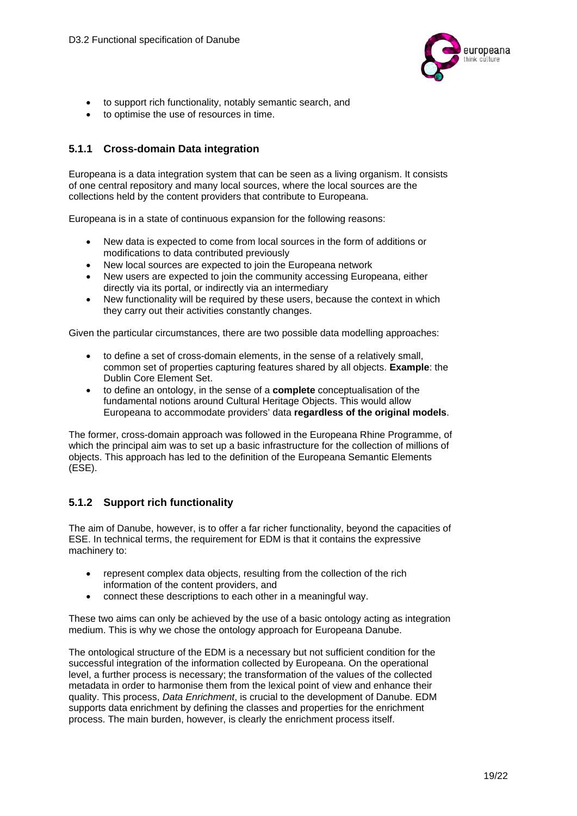

- to support rich functionality, notably semantic search, and
- to optimise the use of resources in time.

#### **5.1.1 Cross-domain Data integration**

Europeana is a data integration system that can be seen as a living organism. It consists of one central repository and many local sources, where the local sources are the collections held by the content providers that contribute to Europeana.

Europeana is in a state of continuous expansion for the following reasons:

- New data is expected to come from local sources in the form of additions or modifications to data contributed previously
- New local sources are expected to join the Europeana network
- New users are expected to join the community accessing Europeana, either directly via its portal, or indirectly via an intermediary
- New functionality will be required by these users, because the context in which they carry out their activities constantly changes.

Given the particular circumstances, there are two possible data modelling approaches:

- to define a set of cross-domain elements, in the sense of a relatively small, common set of properties capturing features shared by all objects. **Example**: the Dublin Core Element Set.
- to define an ontology, in the sense of a **complete** conceptualisation of the fundamental notions around Cultural Heritage Objects. This would allow Europeana to accommodate providers' data **regardless of the original models**.

The former, cross-domain approach was followed in the Europeana Rhine Programme, of which the principal aim was to set up a basic infrastructure for the collection of millions of objects. This approach has led to the definition of the Europeana Semantic Elements (ESE).

## **5.1.2 Support rich functionality**

The aim of Danube, however, is to offer a far richer functionality, beyond the capacities of ESE. In technical terms, the requirement for EDM is that it contains the expressive machinery to:

- represent complex data objects, resulting from the collection of the rich information of the content providers, and
- connect these descriptions to each other in a meaningful way.

These two aims can only be achieved by the use of a basic ontology acting as integration medium. This is why we chose the ontology approach for Europeana Danube.

The ontological structure of the EDM is a necessary but not sufficient condition for the successful integration of the information collected by Europeana. On the operational level, a further process is necessary; the transformation of the values of the collected metadata in order to harmonise them from the lexical point of view and enhance their quality. This process, *Data Enrichment*, is crucial to the development of Danube. EDM supports data enrichment by defining the classes and properties for the enrichment process. The main burden, however, is clearly the enrichment process itself.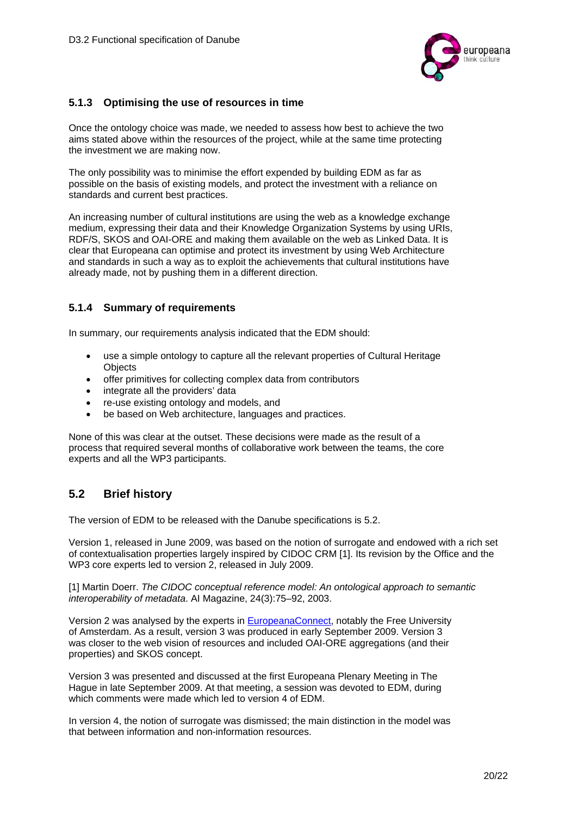

#### **5.1.3 Optimising the use of resources in time**

Once the ontology choice was made, we needed to assess how best to achieve the two aims stated above within the resources of the project, while at the same time protecting the investment we are making now.

The only possibility was to minimise the effort expended by building EDM as far as possible on the basis of existing models, and protect the investment with a reliance on standards and current best practices.

An increasing number of cultural institutions are using the web as a knowledge exchange medium, expressing their data and their Knowledge Organization Systems by using URIs, RDF/S, SKOS and OAI-ORE and making them available on the web as Linked Data. It is clear that Europeana can optimise and protect its investment by using Web Architecture and standards in such a way as to exploit the achievements that cultural institutions have already made, not by pushing them in a different direction.

#### **5.1.4 Summary of requirements**

In summary, our requirements analysis indicated that the EDM should:

- use a simple ontology to capture all the relevant properties of Cultural Heritage **Objects**
- offer primitives for collecting complex data from contributors
- integrate all the providers' data
- re-use existing ontology and models, and
- be based on Web architecture, languages and practices.

None of this was clear at the outset. These decisions were made as the result of a process that required several months of collaborative work between the teams, the core experts and all the WP3 participants.

## **5.2 Brief history**

The version of EDM to be released with the Danube specifications is 5.2.

Version 1, released in June 2009, was based on the notion of surrogate and endowed with a rich set of contextualisation properties largely inspired by CIDOC CRM [1]. Its revision by the Office and the WP3 core experts led to version 2, released in July 2009.

[1] Martin Doerr. *The CIDOC conceptual reference model: An ontological approach to semantic interoperability of metadata*. AI Magazine, 24(3):75–92, 2003.

Version 2 was analysed by the experts in EuropeanaConnect, notably the Free University of Amsterdam. As a result, version 3 was produced in early September 2009. Version 3 was closer to the web vision of resources and included OAI-ORE aggregations (and their properties) and SKOS concept.

Version 3 was presented and discussed at the first Europeana Plenary Meeting in The Hague in late September 2009. At that meeting, a session was devoted to EDM, during which comments were made which led to version 4 of EDM.

In version 4, the notion of surrogate was dismissed; the main distinction in the model was that between information and non-information resources.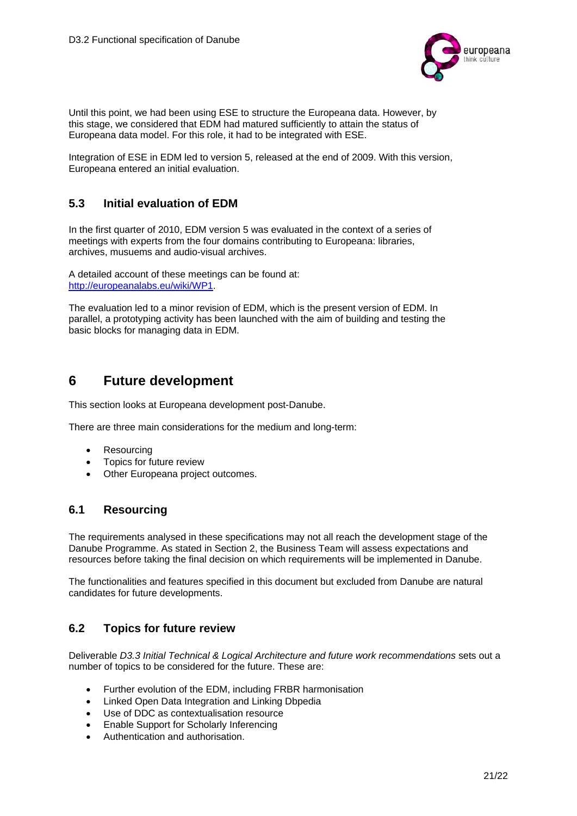

Until this point, we had been using ESE to structure the Europeana data. However, by this stage, we considered that EDM had matured sufficiently to attain the status of Europeana data model. For this role, it had to be integrated with ESE.

Integration of ESE in EDM led to version 5, released at the end of 2009. With this version, Europeana entered an initial evaluation.

## **5.3 Initial evaluation of EDM**

In the first quarter of 2010, EDM version 5 was evaluated in the context of a series of meetings with experts from the four domains contributing to Europeana: libraries, archives, musuems and audio-visual archives.

A detailed account of these meetings can be found at: http://europeanalabs.eu/wiki/WP1.

The evaluation led to a minor revision of EDM, which is the present version of EDM. In parallel, a prototyping activity has been launched with the aim of building and testing the basic blocks for managing data in EDM.

# **6 Future development**

This section looks at Europeana development post-Danube.

There are three main considerations for the medium and long-term:

- Resourcing
- Topics for future review
- Other Europeana project outcomes.

## **6.1 Resourcing**

The requirements analysed in these specifications may not all reach the development stage of the Danube Programme. As stated in Section 2, the Business Team will assess expectations and resources before taking the final decision on which requirements will be implemented in Danube.

The functionalities and features specified in this document but excluded from Danube are natural candidates for future developments.

## **6.2 Topics for future review**

Deliverable *D3.3 Initial Technical & Logical Architecture and future work recommendations* sets out a number of topics to be considered for the future. These are:

- Further evolution of the EDM, including FRBR harmonisation
- Linked Open Data Integration and Linking Dbpedia
- Use of DDC as contextualisation resource
- Enable Support for Scholarly Inferencing
- Authentication and authorisation.